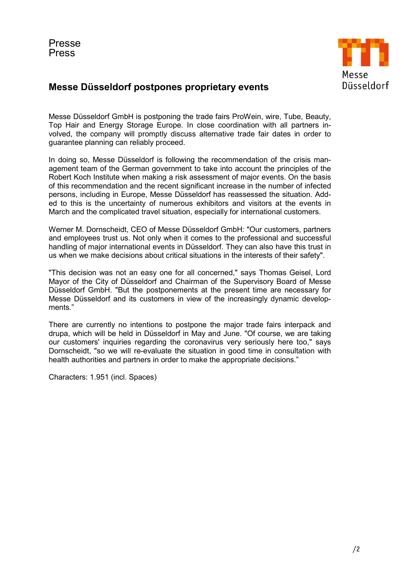

## Messe Düsseldorf postpones proprietary events

Messe Düsseldorf GmbH is postponing the trade fairs ProWein, wire, Tube, Beauty, Top Hair and Energy Storage Europe. In close coordination with all partners involved, the company will promptly discuss alternative trade fair dates in order to guarantee planning can reliably proceed.

In doing so, Messe Düsseldorf is following the recommendation of the crisis management team of the German government to take into account the principles of the Robert Koch Institute when making a risk assessment of major events. On the basis of this recommendation and the recent significant increase in the number of infected persons, including in Europe, Messe Düsseldorf has reassessed the situation. Added to this is the uncertainty of numerous exhibitors and visitors at the events in March and the complicated travel situation, especially for international customers.

Werner M. Dornscheidt, CEO of Messe Düsseldorf GmbH: "Our customers, partners and employees trust us. Not only when it comes to the professional and successful handling of major international events in Düsseldorf. They can also have this trust in us when we make decisions about critical situations in the interests of their safety".

"This decision was not an easy one for all concerned," says Thomas Geisel, Lord Mayor of the City of Düsseldorf and Chairman of the Supervisory Board of Messe Düsseldorf GmbH. "But the postponements at the present time are necessary for Messe Düsseldorf and its customers in view of the increasingly dynamic developments."

There are currently no intentions to postpone the major trade fairs interpack and drupa, which will be held in Düsseldorf in May and June. "Of course, we are taking our customers' inquiries regarding the coronavirus very seriously here too," says Dornscheidt, "so we will re-evaluate the situation in good time in consultation with health authorities and partners in order to make the appropriate decisions."

Characters: 1.951 (incl. Spaces)